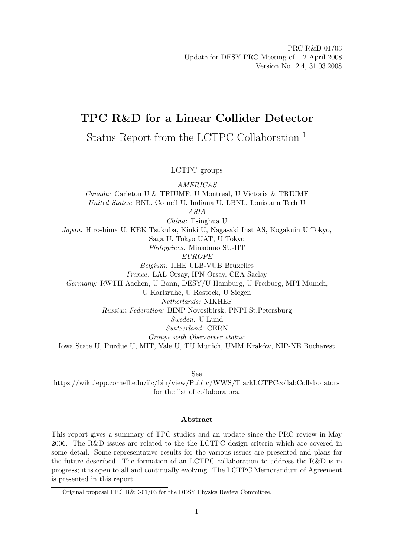# **TPC R&D for a Linear Collider Detector**

Status Report from the LCTPC Collaboration <sup>1</sup>

LCTPC groups

*AMERICAS Canada:* Carleton U & TRIUMF, U Montreal, U Victoria & TRIUMF *United States:* BNL, Cornell U, Indiana U, LBNL, Louisiana Tech U *ASIA China:* Tsinghua U *Japan:* Hiroshima U, KEK Tsukuba, Kinki U, Nagasaki Inst AS, Kogakuin U Tokyo, Saga U, Tokyo UAT, U Tokyo *Philippines:* Minadano SU-IIT *EUROPE Belgium:* IIHE ULB-VUB Bruxelles *France:* LAL Orsay, IPN Orsay, CEA Saclay *Germany:* RWTH Aachen, U Bonn, DESY/U Hamburg, U Freiburg, MPI-Munich, U Karlsruhe, U Rostock, U Siegen *Netherlands:* NIKHEF *Russian Federation:* BINP Novosibirsk, PNPI St.Petersburg *Sweden:* U Lund *Switzerland:* CERN *Groups with Oberserver status:* Iowa State U, Purdue U, MIT, Yale U, TU Munich, UMM Kraków, NIP-NE Bucharest

See

https://wiki.lepp.cornell.edu/ilc/bin/view/Public/WWS/TrackLCTPCcollabCollaborators for the list of collaborators.

# **Abstract**

This report gives a summary of TPC studies and an update since the PRC review in May 2006. The R&D issues are related to the the LCTPC design criteria which are covered in some detail. Some representative results for the various issues are presented and plans for the future described. The formation of an LCTPC collaboration to address the R&D is in progress; it is open to all and continually evolving. The LCTPC Memorandum of Agreement is presented in this report.

<sup>&</sup>lt;sup>1</sup>Original proposal PRC R&D-01/03 for the DESY Physics Review Committee. Original proposal PRC R&D-01/03 for the DESY Physics Review Committee.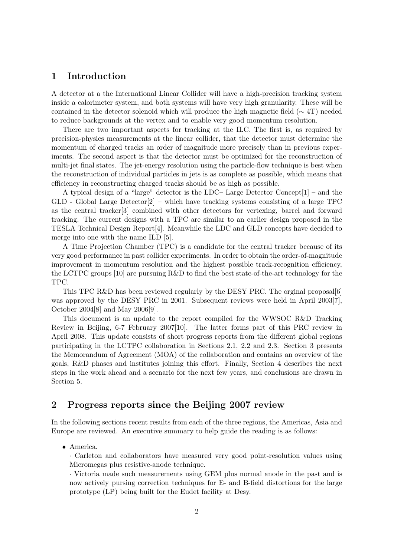# **1 Introduction**

A detector at a the International Linear Collider will have a high-precision tracking system inside a calorimeter system, and both systems will have very high granularity. These will be contained in the detector solenoid which will produce the high magnetic field ( $\sim$  4T) needed to reduce backgrounds at the vertex and to enable very good momentum resolution.

There are two important aspects for tracking at the ILC. The first is, as required by precision-physics measurements at the linear collider, that the detector must determine the momentum of charged tracks an order of magnitude more precisely than in previous experiments. The second aspect is that the detector must be optimized for the reconstruction of multi-jet final states. The jet-energy resolution using the particle-flow technique is best when the reconstruction of individual particles in jets is as complete as possible, which means that efficiency in reconstructing charged tracks should be as high as possible.

A typical design of a "large" detector is the LDC– Large Detector Concept[1] – and the  $GLD$  - Global Large Detector<sup>[2]</sup> – which have tracking systems consisting of a large TPC as the central tracker[3] combined with other detectors for vertexing, barrel and forward tracking. The current designs with a TPC are similar to an earlier design proposed in the TESLA Technical Design Report[4]. Meanwhile the LDC and GLD concepts have decided to merge into one with the name ILD [5].

A Time Projection Chamber (TPC) is a candidate for the central tracker because of its very good performance in past collider experiments. In order to obtain the order-of-magnitude improvement in momentum resolution and the highest possible track-recognition efficiency, the LCTPC groups [10] are pursuing R&D to find the best state-of-the-art technology for the TPC.

This TPC R&D has been reviewed regularly by the DESY PRC. The orginal proposal [6] was approved by the DESY PRC in 2001. Subsequent reviews were held in April 2003<sup>[7]</sup>, October 2004[8] and May 2006[9].

This document is an update to the report compiled for the WWSOC R&D Tracking Review in Beijing, 6-7 February 2007[10]. The latter forms part of this PRC review in April 2008. This update consists of short progress reports from the different global regions participating in the LCTPC collaboration in Sections 2.1, 2.2 and 2.3. Section 3 presents the Memorandum of Agreement (MOA) of the collaboration and contains an overview of the goals, R&D phases and institutes joining this effort. Finally, Section 4 describes the next steps in the work ahead and a scenario for the next few years, and conclusions are drawn in Section 5.

# **2 Progress reports since the Beijing 2007 review**

In the following sections recent results from each of the three regions, the Americas, Asia and Europe are reviewed. An executive summary to help guide the reading is as follows:

• America.

· Carleton and collaborators have measured very good point-resolution values using Micromegas plus resistive-anode technique.

· Victoria made such measurements using GEM plus normal anode in the past and is now actively pursing correction techniques for E- and B-field distortions for the large prototype (LP) being built for the Eudet facility at Desy.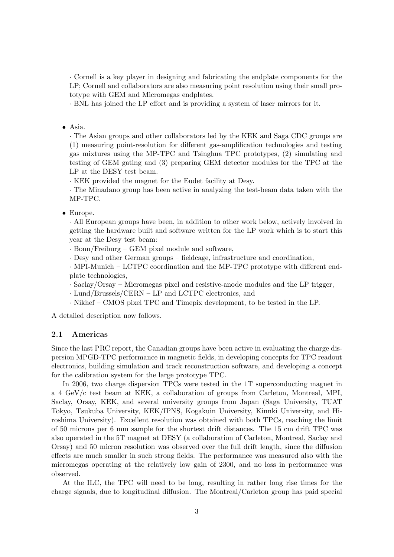· Cornell is a key player in designing and fabricating the endplate components for the LP; Cornell and collaborators are also measuring point resolution using their small prototype with GEM and Micromegas endplates.

· BNL has joined the LP effort and is providing a system of laser mirrors for it.

• Asia.

· The Asian groups and other collaborators led by the KEK and Saga CDC groups are (1) measuring point-resolution for different gas-amplification technologies and testing gas mixtures using the MP-TPC and Tsinghua TPC prototypes, (2) simulating and testing of GEM gating and (3) preparing GEM detector modules for the TPC at the LP at the DESY test beam.

· KEK provided the magnet for the Eudet facility at Desy.

· The Minadano group has been active in analyzing the test-beam data taken with the MP-TPC.

# • Europe.

· All European groups have been, in addition to other work below, actively involved in getting the hardware built and software written for the LP work which is to start this year at the Desy test beam:

· Bonn/Freiburg – GEM pixel module and software,

· Desy and other German groups – fieldcage, infrastructure and coordination,

· MPI-Munich – LCTPC coordination and the MP-TPC prototype with different endplate technologies,

· Saclay/Orsay – Micromegas pixel and resistive-anode modules and the LP trigger,

· Lund/Brussels/CERN – LP and LCTPC electronics, and

· Nikhef – CMOS pixel TPC and Timepix development, to be tested in the LP.

A detailed description now follows.

#### **2.1 Americas**

Since the last PRC report, the Canadian groups have been active in evaluating the charge dispersion MPGD-TPC performance in magnetic fields, in developing concepts for TPC readout electronics, building simulation and track reconstruction software, and developing a concept for the calibration system for the large prototype TPC.

In 2006, two charge dispersion TPCs were tested in the 1T superconducting magnet in a 4 GeV/c test beam at KEK, a collaboration of groups from Carleton, Montreal, MPI, Saclay, Orsay, KEK, and several university groups from Japan (Saga University, TUAT Tokyo, Tsukuba University, KEK/IPNS, Kogakuin University, Kinnki University, and Hiroshima University). Excellent resolution was obtained with both TPCs, reaching the limit of 50 microns per 6 mm sample for the shortest drift distances. The 15 cm drift TPC was also operated in the 5T magnet at DESY (a collaboration of Carleton, Montreal, Saclay and Orsay) and 50 micron resolution was observed over the full drift length, since the diffusion effects are much smaller in such strong fields. The performance was measured also with the micromegas operating at the relatively low gain of 2300, and no loss in performance was observed.

At the ILC, the TPC will need to be long, resulting in rather long rise times for the charge signals, due to longitudinal diffusion. The Montreal/Carleton group has paid special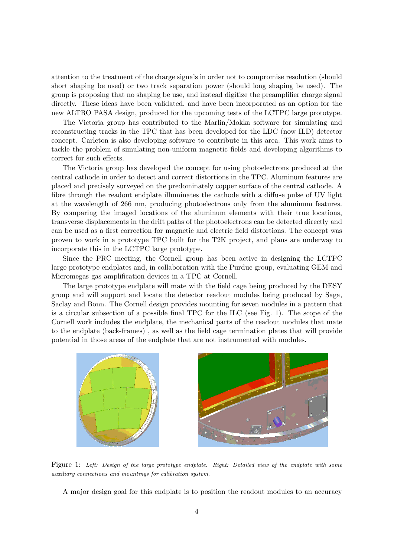attention to the treatment of the charge signals in order not to compromise resolution (should short shaping be used) or two track separation power (should long shaping be used). The group is proposing that no shaping be use, and instead digitize the preamplifier charge signal directly. These ideas have been validated, and have been incorporated as an option for the new ALTRO PASA design, produced for the upcoming tests of the LCTPC large prototype.

The Victoria group has contributed to the Marlin/Mokka software for simulating and reconstructing tracks in the TPC that has been developed for the LDC (now ILD) detector concept. Carleton is also developing software to contribute in this area. This work aims to tackle the problem of simulating non-uniform magnetic fields and developing algorithms to correct for such effects.

The Victoria group has developed the concept for using photoelectrons produced at the central cathode in order to detect and correct distortions in the TPC. Aluminum features are placed and precisely surveyed on the predominately copper surface of the central cathode. A fibre through the readout endplate illuminates the cathode with a diffuse pulse of UV light at the wavelength of 266 nm, producing photoelectrons only from the aluminum features. By comparing the imaged locations of the aluminum elements with their true locations, transverse displacements in the drift paths of the photoelectrons can be detected directly and can be used as a first correction for magnetic and electric field distortions. The concept was proven to work in a prototype TPC built for the T2K project, and plans are underway to incorporate this in the LCTPC large prototype.

Since the PRC meeting, the Cornell group has been active in designing the LCTPC large prototype endplates and, in collaboration with the Purdue group, evaluating GEM and Micromegas gas amplification devices in a TPC at Cornell.

The large prototype endplate will mate with the field cage being produced by the DESY group and will support and locate the detector readout modules being produced by Saga, Saclay and Bonn. The Cornell design provides mounting for seven modules in a pattern that is a circular subsection of a possible final TPC for the ILC (see Fig. 1). The scope of the Cornell work includes the endplate, the mechanical parts of the readout modules that mate to the endplate (back-frames) , as well as the field cage termination plates that will provide potential in those areas of the endplate that are not instrumented with modules.



Figure 1: Left: Design of the large prototype endplate. Right: Detailed view of the endplate with some auxiliary connections and mountings for calibration system.

A major design goal for this endplate is to position the readout modules to an accuracy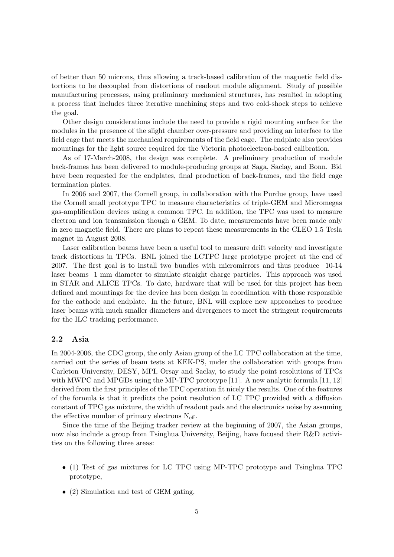of better than 50 microns, thus allowing a track-based calibration of the magnetic field distortions to be decoupled from distortions of readout module alignment. Study of possible manufacturing processes, using preliminary mechanical structures, has resulted in adopting a process that includes three iterative machining steps and two cold-shock steps to achieve the goal.

Other design considerations include the need to provide a rigid mounting surface for the modules in the presence of the slight chamber over-pressure and providing an interface to the field cage that meets the mechanical requirements of the field cage. The endplate also provides mountings for the light source required for the Victoria photoelectron-based calibration.

As of 17-March-2008, the design was complete. A preliminary production of module back-frames has been delivered to module-producing groups at Saga, Saclay, and Bonn. Bid have been requested for the endplates, final production of back-frames, and the field cage termination plates.

In 2006 and 2007, the Cornell group, in collaboration with the Purdue group, have used the Cornell small prototype TPC to measure characteristics of triple-GEM and Micromegas gas-amplification devices using a common TPC. In addition, the TPC was used to measure electron and ion transmission though a GEM. To date, measurements have been made only in zero magnetic field. There are plans to repeat these measurements in the CLEO 1.5 Tesla magnet in August 2008.

Laser calibration beams have been a useful tool to measure drift velocity and investigate track distortions in TPCs. BNL joined the LCTPC large prototype project at the end of 2007. The first goal is to install two bundles with micromirrors and thus produce 10-14 laser beams 1 mm diameter to simulate straight charge particles. This approach was used in STAR and ALICE TPCs. To date, hardware that will be used for this project has been defined and mountings for the device has been design in coordination with those responsible for the cathode and endplate. In the future, BNL will explore new approaches to produce laser beams with much smaller diameters and divergences to meet the stringent requirements for the ILC tracking performance.

### **2.2 Asia**

In 2004-2006, the CDC group, the only Asian group of the LC TPC collaboration at the time, carried out the series of beam tests at KEK-PS, under the collaboration with groups from Carleton University, DESY, MPI, Orsay and Saclay, to study the point resolutions of TPCs with MWPC and MPGDs using the MP-TPC prototype [11]. A new analytic formula [11, 12] derived from the first principles of the TPC operation fit nicely the results. One of the features of the formula is that it predicts the point resolution of LC TPC provided with a diffusion constant of TPC gas mixture, the width of readout pads and the electronics noise by assuming the effective number of primary electrons  $N_{\text{eff}}$ .

Since the time of the Beijing tracker review at the beginning of 2007, the Asian groups, now also include a group from Tsinghua University, Beijing, have focused their R&D activities on the following three areas:

- (1) Test of gas mixtures for LC TPC using MP-TPC prototype and Tsinghua TPC prototype,
- (2) Simulation and test of GEM gating,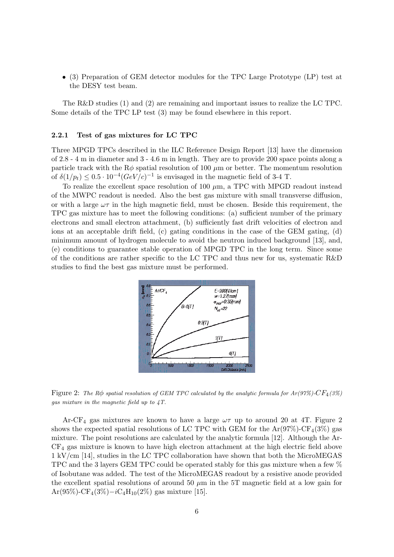• (3) Preparation of GEM detector modules for the TPC Large Prototype (LP) test at the DESY test beam.

The R&D studies (1) and (2) are remaining and important issues to realize the LC TPC. Some details of the TPC LP test (3) may be found elsewhere in this report.

#### **2.2.1 Test of gas mixtures for LC TPC**

Three MPGD TPCs described in the ILC Reference Design Report [13] have the dimension of 2.8 - 4 m in diameter and 3 - 4.6 m in length. They are to provide 200 space points along a particle track with the  $R\phi$  spatial resolution of 100  $\mu$ m or better. The momentum resolution of  $\delta(1/p_t) \leq 0.5 \cdot 10^{-4} (GeV/c)^{-1}$  is envisaged in the magnetic field of 3-4 T.

To realize the excellent space resolution of 100  $\mu$ m, a TPC with MPGD readout instead of the MWPC readout is needed. Also the best gas mixture with small transverse diffusion, or with a large  $\omega\tau$  in the high magnetic field, must be chosen. Beside this requirement, the TPC gas mixture has to meet the following conditions: (a) sufficient number of the primary electrons and small electron attachment, (b) sufficiently fast drift velocities of electron and ions at an acceptable drift field, (c) gating conditions in the case of the GEM gating, (d) minimum amount of hydrogen molecule to avoid the neutron induced background [13], and, (e) conditions to guarantee stable operation of MPGD TPC in the long term. Since some of the conditions are rather specific to the LC TPC and thus new for us, systematic R&D studies to find the best gas mixture must be performed.



Figure 2: The R $\phi$  spatial resolution of GEM TPC calculated by the analytic formula for  $Ar(97\%)$ -C $F_4(3\%)$ gas mixture in the magnetic field up to 4T.

Ar-CF<sub>4</sub> gas mixtures are known to have a large  $\omega\tau$  up to around 20 at 4T. Figure 2 shows the expected spatial resolutions of LC TPC with GEM for the  $Ar(97\%)-CF_4(3\%)$  gas mixture. The point resolutions are calculated by the analytic formula [12]. Although the Ar- $CF<sub>4</sub>$  gas mixture is known to have high electron attachment at the high electric field above 1 kV/cm [14], studies in the LC TPC collaboration have shown that both the MicroMEGAS TPC and the 3 layers GEM TPC could be operated stably for this gas mixture when a few % of Isobutane was added. The test of the MicroMEGAS readout by a resistive anode provided the excellent spatial resolutions of around 50  $\mu$ m in the 5T magnetic field at a low gain for  $Ar(95\%)-CF_4(3\%)-iC_4H_{10}(2\%)$  gas mixture [15].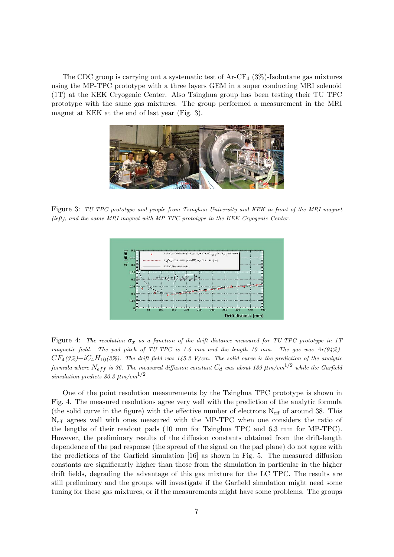The CDC group is carrying out a systematic test of  $Ar-CF<sub>4</sub>$  (3%)-Isobutane gas mixtures using the MP-TPC prototype with a three layers GEM in a super conducting MRI solenoid (1T) at the KEK Cryogenic Center. Also Tsinghua group has been testing their TU TPC prototype with the same gas mixtures. The group performed a measurement in the MRI magnet at KEK at the end of last year (Fig. 3).



Figure 3: TU-TPC prototype and people from Tsinghua University and KEK in front of the MRI magnet (left), and the same MRI magnet with MP-TPC prototype in the KEK Cryogenic Center.



Figure 4: The resolution  $\sigma_x$  as a function of the drift distance measured for TU-TPC prototype in 1T magnetic field. The pad pitch of TU-TPC is 1.6 mm and the length 10 mm. The gas was  $Ar(94%)$ - $CF_4(3\%)-iC_4H_{10}(3\%)$ . The drift field was 145.2 V/cm. The solid curve is the prediction of the analytic formula where  $N_{eff}$  is 36. The measured diffusion constant  $C_d$  was about 139  $\mu$ m/cm<sup>1/2</sup> while the Garfield simulation predicts  $80.3 \ \mu m/cm^{1/2}$ .

One of the point resolution measurements by the Tsinghua TPC prototype is shown in Fig. 4. The measured resolutions agree very well with the prediction of the analytic formula (the solid curve in the figure) with the effective number of electrons  $N_{\text{eff}}$  of around 38. This Neff agrees well with ones measured with the MP-TPC when one considers the ratio of the lengths of their readout pads (10 mm for Tsinghua TPC and 6.3 mm for MP-TPC). However, the preliminary results of the diffusion constants obtained from the drift-length dependence of the pad response (the spread of the signal on the pad plane) do not agree with the predictions of the Garfield simulation [16] as shown in Fig. 5. The measured diffusion constants are significantly higher than those from the simulation in particular in the higher drift fields, degrading the advantage of this gas mixture for the LC TPC. The results are still preliminary and the groups will investigate if the Garfield simulation might need some tuning for these gas mixtures, or if the measurements might have some problems. The groups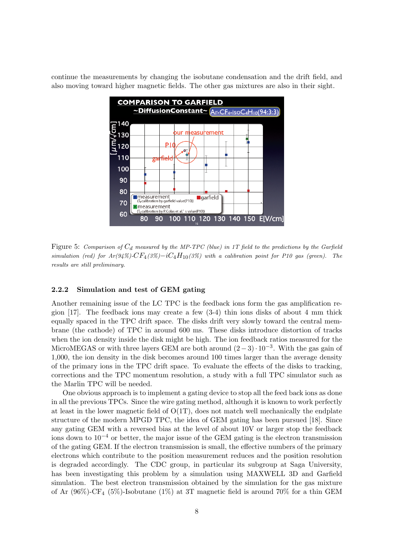continue the measurements by changing the isobutane condensation and the drift field, and also moving toward higher magnetic fields. The other gas mixtures are also in their sight.



Figure 5: Comparison of C*d* measured by the MP-TPC (blue) in 1T field to the predictions by the Garfield simulation (red) for  $Ar(94\%)-CF_4(3\%)-iC_4H_{10}(3\%)$  with a calibration point for P10 gas (green). The results are still preliminary.

#### **2.2.2 Simulation and test of GEM gating**

Another remaining issue of the LC TPC is the feedback ions form the gas amplification region  $[17]$ . The feedback ions may create a few  $(3-4)$  thin ions disks of about 4 mm thick equally spaced in the TPC drift space. The disks drift very slowly toward the central membrane (the cathode) of TPC in around 600 ms. These disks introduce distortion of tracks when the ion density inside the disk might be high. The ion feedback ratios measured for the MicroMEGAS or with three layers GEM are both around (2<sup>−</sup> 3)· <sup>10</sup>*−*3. With the gas gain of 1,000, the ion density in the disk becomes around 100 times larger than the average density of the primary ions in the TPC drift space. To evaluate the effects of the disks to tracking, corrections and the TPC momentum resolution, a study with a full TPC simulator such as the Marlin TPC will be needed.

One obvious approach is to implement a gating device to stop all the feed back ions as done in all the previous TPCs. Since the wire gating method, although it is known to work perfectly at least in the lower magnetic field of  $O(1T)$ , does not match well mechanically the endplate structure of the modern MPGD TPC, the idea of GEM gating has been pursued [18]. Since any gating GEM with a reversed bias at the level of about 10V or larger stop the feedback ions down to 10*−*<sup>4</sup> or better, the major issue of the GEM gating is the electron transmission of the gating GEM. If the electron transmission is small, the effective numbers of the primary electrons which contribute to the position measurement reduces and the position resolution is degraded accordingly. The CDC group, in particular its subgroup at Saga University, has been investigating this problem by a simulation using MAXWELL 3D and Garfield simulation. The best electron transmission obtained by the simulation for the gas mixture of Ar  $(96\%)$ -CF<sub>4</sub>  $(5\%)$ -Isobutane  $(1\%)$  at 3T magnetic field is around 70% for a thin GEM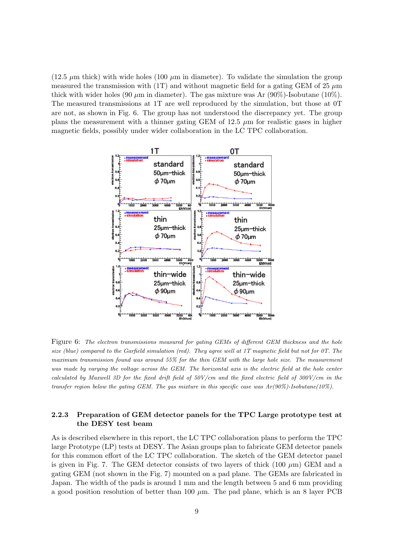$(12.5 \mu m)$  thick) with wide holes  $(100 \mu m)$  in diameter). To validate the simulation the group measured the transmission with (1T) and without magnetic field for a gating GEM of 25  $\mu$ m thick with wider holes (90  $\mu$ m in diameter). The gas mixture was Ar (90%)-Isobutane (10%). The measured transmissions at 1T are well reproduced by the simulation, but those at 0T are not, as shown in Fig. 6. The group has not understood the discrepancy yet. The group plans the measurement with a thinner gating GEM of 12.5  $\mu$ m for realistic gases in higher magnetic fields, possibly under wider collaboration in the LC TPC collaboration.



Figure 6: The electron transmissions measured for gating GEMs of different GEM thickness and the hole size (blue) compared to the Garfield simulation (red). They agree well at 1T magnetic field but not for 0T. The maximum transmission found was around 55% for the thin GEM with the large hole size. The measurement was made by varying the voltage across the GEM. The horizontal axis is the electric field at the hole center calculated by Maxwell 3D for the fixed drift field of  $50V/cm$  and the fixed electric field of  $300V/cm$  in the transfer region below the gating GEM. The gas mixture in this specific case was  $Ar(90\%)$ -Isobutane(10%).

# **2.2.3 Preparation of GEM detector panels for the TPC Large prototype test at the DESY test beam**

As is described elsewhere in this report, the LC TPC collaboration plans to perform the TPC large Prototype (LP) tests at DESY. The Asian groups plan to fabricate GEM detector panels for this common effort of the LC TPC collaboration. The sketch of the GEM detector panel is given in Fig. 7. The GEM detector consists of two layers of thick (100  $\mu$ m) GEM and a gating GEM (not shown in the Fig. 7) mounted on a pad plane. The GEMs are fabricated in Japan. The width of the pads is around 1 mm and the length between 5 and 6 mm providing a good position resolution of better than 100  $\mu$ m. The pad plane, which is an 8 layer PCB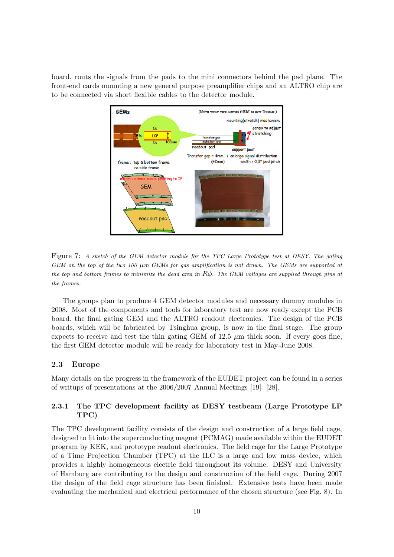board, routs the signals from the pads to the mini connectors behind the pad plane. The front-end cards mounting a new general purpose preamplifier chips and an ALTRO chip are to be connected via short flexible cables to the detector module.



Figure 7: A sketch of the GEM detector module for the TPC Large Prototype test at DESY. The gating GEM on the top of the two 100 μm GEMs for gas amplification is not drawn. The GEMs are supported at the top and bottom frames to minimize the dead area in  $R\phi$ . The GEM voltages are supplied through pins at the frames.

The groups plan to produce 4 GEM detector modules and necessary dummy modules in 2008. Most of the components and tools for laboratory test are now ready except the PCB board, the final gating GEM and the ALTRO readout electronics. The design of the PCB boards, which will be fabricated by Tsinghua group, is now in the final stage. The group expects to receive and test the thin gating GEM of 12.5  $\mu$ m thick soon. If every goes fine, the first GEM detector module will be ready for laboratory test in May-June 2008.

### **2.3 Europe**

Many details on the progress in the framework of the EUDET project can be found in a series of writups of presentations at the 2006/2007 Annual Meetings [19]- [28].

# **2.3.1 The TPC development facility at DESY testbeam (Large Prototype LP TPC)**

The TPC development facility consists of the design and construction of a large field cage, designed to fit into the superconducting magnet (PCMAG) made available within the EUDET program by KEK, and prototype readout electronics. The field cage for the Large Prototype of a Time Projection Chamber (TPC) at the ILC is a large and low mass device, which provides a highly homogeneous electric field throughout its volume. DESY and University of Hamburg are contributing to the design and construction of the field cage. During 2007 the design of the field cage structure has been finished. Extensive tests have been made evaluating the mechanical and electrical performance of the chosen structure (see Fig. 8). In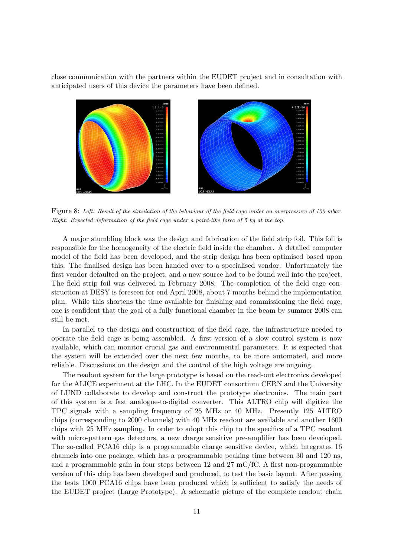close communication with the partners within the EUDET project and in consultation with anticipated users of this device the parameters have been defined.



Figure 8: Left: Result of the simulation of the behaviour of the field cage under an overpressure of 100 mbar. Right: Expected deformation of the field cage under a point-like force of 5 kg at the top.

A major stumbling block was the design and fabrication of the field strip foil. This foil is responsible for the homogeneity of the electric field inside the chamber. A detailed computer model of the field has been developed, and the strip design has been optimised based upon this. The finalised design has been handed over to a specialised vendor. Unfortunately the first vendor defaulted on the project, and a new source had to be found well into the project. The field strip foil was delivered in February 2008. The completion of the field cage construction at DESY is foreseen for end April 2008, about 7 months behind the implementation plan. While this shortens the time available for finishing and commissioning the field cage, one is confident that the goal of a fully functional chamber in the beam by summer 2008 can still be met.

In parallel to the design and construction of the field cage, the infrastructure needed to operate the field cage is being assembled. A first version of a slow control system is now available, which can monitor crucial gas and environmental parameters. It is expected that the system will be extended over the next few months, to be more automated, and more reliable. Discussions on the design and the control of the high voltage are ongoing.

The readout system for the large prototype is based on the read-out electronics developed for the ALICE experiment at the LHC. In the EUDET consortium CERN and the University of LUND collaborate to develop and construct the prototype electronics. The main part of this system is a fast analogue-to-digital converter. This ALTRO chip will digitize the TPC signals with a sampling frequency of 25 MHz or 40 MHz. Presently 125 ALTRO chips (corresponding to 2000 channels) with 40 MHz readout are available and another 1600 chips with 25 MHz sampling. In order to adopt this chip to the specifics of a TPC readout with micro-pattern gas detectors, a new charge sensitive pre-amplifier has been developed. The so-called PCA16 chip is a programmable charge sensitive device, which integrates 16 channels into one package, which has a programmable peaking time between 30 and 120 ns, and a programmable gain in four steps between 12 and 27 mC/fC. A first non-progammable version of this chip has been developed and produced, to test the basic layout. After passing the tests 1000 PCA16 chips have been produced which is sufficient to satisfy the needs of the EUDET project (Large Prototype). A schematic picture of the complete readout chain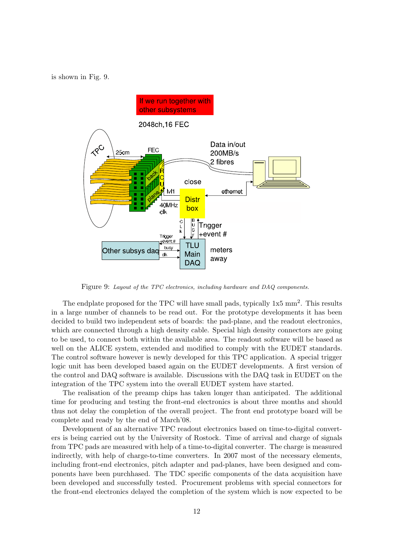is shown in Fig. 9.



Figure 9: Layout of the TPC electronics, including hardware and DAQ components.

The endplate proposed for the TPC will have small pads, typically  $1x5 \text{ mm}^2$ . This results in a large number of channels to be read out. For the prototype developments it has been decided to build two independent sets of boards: the pad-plane, and the readout electronics, which are connected through a high density cable. Special high density connectors are going to be used, to connect both within the available area. The readout software will be based as well on the ALICE system, extended and modified to comply with the EUDET standards. The control software however is newly developed for this TPC application. A special trigger logic unit has been developed based again on the EUDET developments. A first version of the control and DAQ software is available. Discussions with the DAQ task in EUDET on the integration of the TPC system into the overall EUDET system have started.

The realisation of the preamp chips has taken longer than anticipated. The additional time for producing and testing the front-end electronics is about three months and should thus not delay the completion of the overall project. The front end prototype board will be complete and ready by the end of March'08.

Development of an alternative TPC readout electronics based on time-to-digital converters is being carried out by the University of Rostock. Time of arrival and charge of signals from TPC pads are measured with help of a time-to-digital converter. The charge is measured indirectly, with help of charge-to-time converters. In 2007 most of the necessary elements, including front-end electronics, pitch adapter and pad-planes, have been designed and components have been purchhased. The TDC specific components of the data acquisition have been developed and successfully tested. Procurement problems with special connectors for the front-end electronics delayed the completion of the system which is now expected to be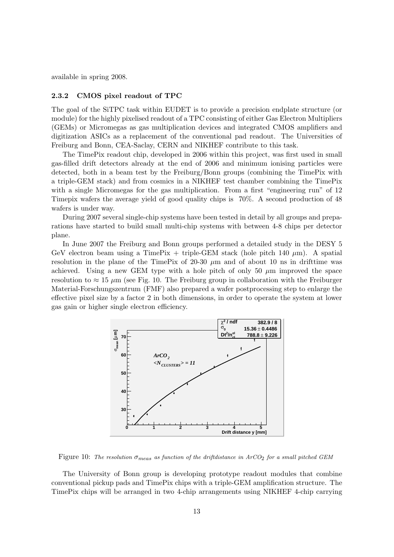available in spring 2008.

#### **2.3.2 CMOS pixel readout of TPC**

The goal of the SiTPC task within EUDET is to provide a precision endplate structure (or module) for the highly pixelised readout of a TPC consisting of either Gas Electron Multipliers (GEMs) or Micromegas as gas multiplication devices and integrated CMOS amplifiers and digitization ASICs as a replacement of the conventional pad readout. The Universities of Freiburg and Bonn, CEA-Saclay, CERN and NIKHEF contribute to this task.

The TimePix readout chip, developed in 2006 within this project, was first used in small gas-filled drift detectors already at the end of 2006 and minimum ionising particles were detected, both in a beam test by the Freiburg/Bonn groups (combining the TimePix with a triple-GEM stack) and from cosmics in a NIKHEF test chamber combining the TimePix with a single Micromegas for the gas multiplication. From a first "engineering run" of 12 Timepix wafers the average yield of good quality chips is 70%. A second production of 48 wafers is under way.

During 2007 several single-chip systems have been tested in detail by all groups and preparations have started to build small multi-chip systems with between 4-8 chips per detector plane.

In June 2007 the Freiburg and Bonn groups performed a detailed study in the DESY 5 GeV electron beam using a TimePix + triple-GEM stack (hole pitch 140  $\mu$ m). A spatial resolution in the plane of the TimePix of 20-30  $\mu$ m and of about 10 ns in drifttime was achieved. Using a new GEM type with a hole pitch of only 50  $\mu$ m improved the space resolution to  $\approx 15 \mu$ m (see Fig. 10. The Freiburg group in collaboration with the Freiburger Material-Forschungszentrum (FMF) also prepared a wafer postprocessing step to enlarge the effective pixel size by a factor 2 in both dimensions, in order to operate the system at lower gas gain or higher single electron efficiency.



Figure 10: The resolution  $\sigma_{meas}$  as function of the driftdistance in ArCO<sub>2</sub> for a small pitched GEM

The University of Bonn group is developing prototype readout modules that combine conventional pickup pads and TimePix chips with a triple-GEM amplification structure. The TimePix chips will be arranged in two 4-chip arrangements using NIKHEF 4-chip carrying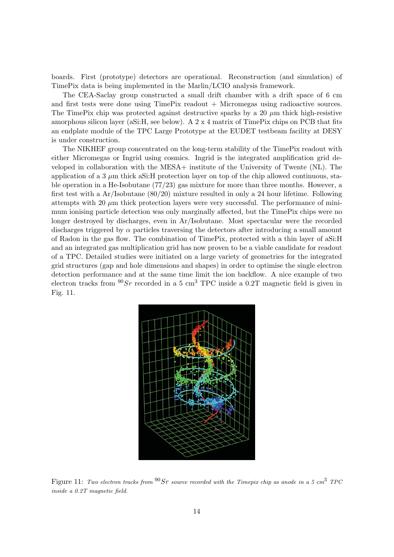boards. First (prototype) detectors are operational. Reconstruction (and simulation) of TimePix data is being implemented in the Marlin/LCIO analysis framework.

The CEA-Saclay group constructed a small drift chamber with a drift space of 6 cm and first tests were done using  $TimeFix$  readout  $+$  Micromegas using radioactive sources. The TimePix chip was protected against destructive sparks by a 20  $\mu$ m thick high-resistive amorphous silicon layer (aSi:H, see below). A 2 x 4 matrix of TimePix chips on PCB that fits an endplate module of the TPC Large Prototype at the EUDET testbeam facility at DESY is under construction.

The NIKHEF group concentrated on the long-term stability of the TimePix readout with either Micromegas or Ingrid using cosmics. Ingrid is the integrated amplification grid developed in collaboration with the MESA+ institute of the University of Twente (NL). The application of a 3  $\mu$ m thick aSi:H protection layer on top of the chip allowed continuous, stable operation in a He-Isobutane (77/23) gas mixture for more than three months. However, a first test with a Ar/Isobutane (80/20) mixture resulted in only a 24 hour lifetime. Following attempts with 20  $\mu$ m thick protection layers were very successful. The performance of minimum ionising particle detection was only marginally affected, but the TimePix chips were no longer destroyed by discharges, even in Ar/Isobutane. Most spectacular were the recorded discharges triggered by  $\alpha$  particles traversing the detectors after introducing a small amount of Radon in the gas flow. The combination of TimePix, protected with a thin layer of aSi:H and an integrated gas multiplication grid has now proven to be a viable candidate for readout of a TPC. Detailed studies were initiated on a large variety of geometries for the integrated grid structures (gap and hole dimensions and shapes) in order to optimise the single electron detection performance and at the same time limit the ion backflow. A nice example of two electron tracks from  ${}^{90}Sr$  recorded in a 5 cm<sup>3</sup> TPC inside a 0.2T magnetic field is given in Fig. 11.



Figure 11: Two electron tracks from  $90 Sr$  source recorded with the Timepix chip as anode in a 5 cm<sup>3</sup> TPC inside a 0.2T magnetic field.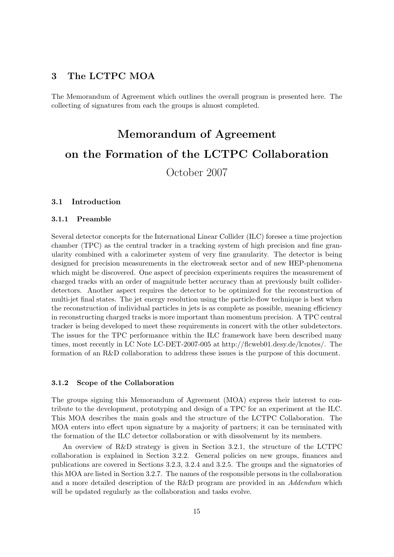# **3 The LCTPC MOA**

The Memorandum of Agreement which outlines the overall program is presented here. The collecting of signatures from each the groups is almost completed.

# **Memorandum of Agreement on the Formation of the LCTPC Collaboration**

October 2007

## **3.1 Introduction**

#### **3.1.1 Preamble**

Several detector concepts for the International Linear Collider (ILC) foresee a time projection chamber (TPC) as the central tracker in a tracking system of high precision and fine granularity combined with a calorimeter system of very fine granularity. The detector is being designed for precision measurements in the electroweak sector and of new HEP-phenomena which might be discovered. One aspect of precision experiments requires the measurement of charged tracks with an order of magnitude better accuracy than at previously built colliderdetectors. Another aspect requires the detector to be optimized for the reconstruction of multi-jet final states. The jet energy resolution using the particle-flow technique is best when the reconstruction of individual particles in jets is as complete as possible, meaning efficiency in reconstructing charged tracks is more important than momentum precision. A TPC central tracker is being developed to meet these requirements in concert with the other subdetectors. The issues for the TPC performance within the ILC framework have been described many times, most recently in LC Note LC-DET-2007-005 at http://flcweb01.desy.de/lcnotes/. The formation of an R&D collaboration to address these issues is the purpose of this document.

#### **3.1.2 Scope of the Collaboration**

The groups signing this Memorandum of Agreement (MOA) express their interest to contribute to the development, prototyping and design of a TPC for an experiment at the ILC. This MOA describes the main goals and the structure of the LCTPC Collaboration. The MOA enters into effect upon signature by a majority of partners; it can be terminated with the formation of the ILC detector collaboration or with dissolvement by its members.

An overview of R&D strategy is given in Section 3.2.1, the structure of the LCTPC collaboration is explained in Section 3.2.2. General policies on new groups, finances and publications are covered in Sections 3.2.3, 3.2.4 and 3.2.5. The groups and the signatories of this MOA are listed in Section 3.2.7. The names of the responsible persons in the collaboration and a more detailed description of the R&D program are provided in an *Addendum* which will be updated regularly as the collaboration and tasks evolve.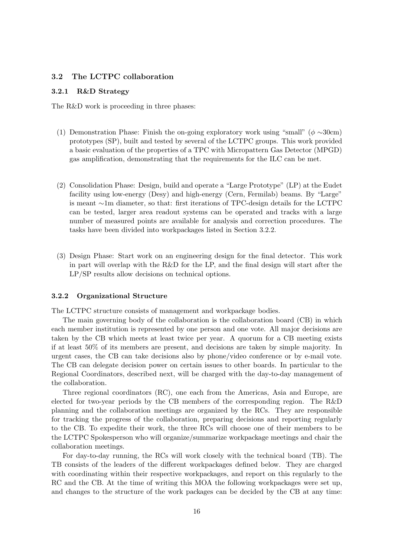# **3.2 The LCTPC collaboration**

## **3.2.1 R&D Strategy**

The R&D work is proceeding in three phases:

- (1) Demonstration Phase: Finish the on-going exploratory work using "small" ( $\phi \sim 30$ cm) prototypes (SP), built and tested by several of the LCTPC groups. This work provided a basic evaluation of the properties of a TPC with Micropattern Gas Detector (MPGD) gas amplification, demonstrating that the requirements for the ILC can be met.
- (2) Consolidation Phase: Design, build and operate a "Large Prototype" (LP) at the Eudet facility using low-energy (Desy) and high-energy (Cern, Fermilab) beams. By "Large" is meant ∼1m diameter, so that: first iterations of TPC-design details for the LCTPC can be tested, larger area readout systems can be operated and tracks with a large number of measured points are available for analysis and correction procedures. The tasks have been divided into workpackages listed in Section 3.2.2.
- (3) Design Phase: Start work on an engineering design for the final detector. This work in part will overlap with the R&D for the LP, and the final design will start after the LP/SP results allow decisions on technical options.

#### **3.2.2 Organizational Structure**

The LCTPC structure consists of management and workpackage bodies.

The main governing body of the collaboration is the collaboration board (CB) in which each member institution is represented by one person and one vote. All major decisions are taken by the CB which meets at least twice per year. A quorum for a CB meeting exists if at least 50% of its members are present, and decisions are taken by simple majority. In urgent cases, the CB can take decisions also by phone/video conference or by e-mail vote. The CB can delegate decision power on certain issues to other boards. In particular to the Regional Coordinators, described next, will be charged with the day-to-day management of the collaboration.

Three regional coordinators (RC), one each from the Americas, Asia and Europe, are elected for two-year periods by the CB members of the corresponding region. The R&D planning and the collaboration meetings are organized by the RCs. They are responsible for tracking the progress of the collaboration, preparing decisions and reporting regularly to the CB. To expedite their work, the three RCs will choose one of their members to be the LCTPC Spokesperson who will organize/summarize workpackage meetings and chair the collaboration meetings.

For day-to-day running, the RCs will work closely with the technical board (TB). The TB consists of the leaders of the different workpackages defined below. They are charged with coordinating within their respective workpackages, and report on this regularly to the RC and the CB. At the time of writing this MOA the following workpackages were set up, and changes to the structure of the work packages can be decided by the CB at any time: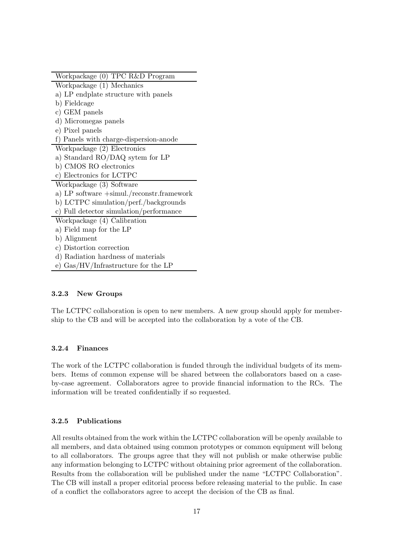| Workpackage (0) TPC R&D Program                            |
|------------------------------------------------------------|
| Workpackage (1) Mechanics                                  |
| a) LP endplate structure with panels                       |
| b) Fieldcage                                               |
| c) GEM panels                                              |
| d) Micromegas panels                                       |
| e) Pixel panels                                            |
| f) Panels with charge-dispersion-anode                     |
| Workpackage (2) Electronics                                |
| a) Standard RO/DAQ sytem for LP                            |
| b) CMOS RO electronics                                     |
| c) Electronics for LCTPC                                   |
| Workpackage (3) Software                                   |
| a) LP software $+\text{simul./reconstr.framework}$         |
| b) LCTPC simulation/perf./backgrounds                      |
| c) Full detector simulation/performance                    |
| Workpackage (4) Calibration                                |
| a) Field map for the LP                                    |
| b) Alignment                                               |
| c) Distortion correction                                   |
| d) Radiation hardness of materials                         |
| e) $\text{Gas}/\text{HV}/\text{Infrastructure}$ for the LP |
|                                                            |

# **3.2.3 New Groups**

The LCTPC collaboration is open to new members. A new group should apply for membership to the CB and will be accepted into the collaboration by a vote of the CB.

## **3.2.4 Finances**

The work of the LCTPC collaboration is funded through the individual budgets of its members. Items of common expense will be shared between the collaborators based on a caseby-case agreement. Collaborators agree to provide financial information to the RCs. The information will be treated confidentially if so requested.

## **3.2.5 Publications**

All results obtained from the work within the LCTPC collaboration will be openly available to all members, and data obtained using common prototypes or common equipment will belong to all collaborators. The groups agree that they will not publish or make otherwise public any information belonging to LCTPC without obtaining prior agreement of the collaboration. Results from the collaboration will be published under the name "LCTPC Collaboration". The CB will install a proper editorial process before releasing material to the public. In case of a conflict the collaborators agree to accept the decision of the CB as final.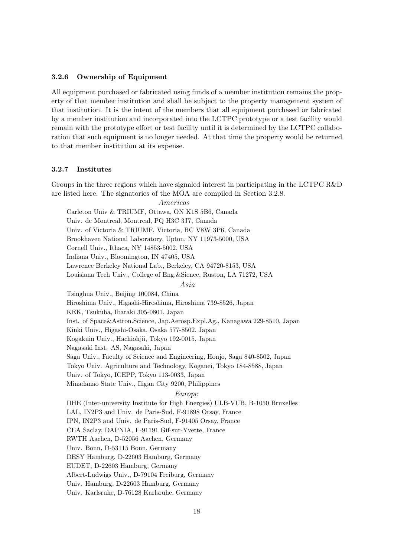#### **3.2.6 Ownership of Equipment**

All equipment purchased or fabricated using funds of a member institution remains the property of that member institution and shall be subject to the property management system of that institution. It is the intent of the members that all equipment purchased or fabricated by a member institution and incorporated into the LCTPC prototype or a test facility would remain with the prototype effort or test facility until it is determined by the LCTPC collaboration that such equipment is no longer needed. At that time the property would be returned to that member institution at its expense.

# **3.2.7 Institutes**

Groups in the three regions which have signaled interest in participating in the LCTPC R&D are listed here. The signatories of the MOA are compiled in Section 3.2.8.

*Americas*

Carleton Univ & TRIUMF, Ottawa, ON K1S 5B6, Canada

Univ. de Montreal, Montreal, PQ H3C 3J7, Canada

Univ. of Victoria & TRIUMF, Victoria, BC V8W 3P6, Canada

Brookhaven National Laboratory, Upton, NY 11973-5000, USA

Cornell Univ., Ithaca, NY 14853-5002, USA

Indiana Univ., Bloomington, IN 47405, USA

Lawrence Berkeley National Lab., Berkeley, CA 94720-8153, USA

Louisiana Tech Univ., College of Eng.&Sience, Ruston, LA 71272, USA

*Asia*

Tsinghua Univ., Beijing 100084, China Hiroshima Univ., Higashi-Hiroshima, Hiroshima 739-8526, Japan KEK, Tsukuba, Ibaraki 305-0801, Japan Inst. of Space&Astron.Science, Jap.Aerosp.Expl.Ag., Kanagawa 229-8510, Japan Kinki Univ., Higashi-Osaka, Osaka 577-8502, Japan Kogakuin Univ., Hachiohjii, Tokyo 192-0015, Japan Nagasaki Inst. AS, Nagasaki, Japan Saga Univ., Faculty of Science and Engineering, Honjo, Saga 840-8502, Japan Tokyo Univ. Agriculture and Technology, Koganei, Tokyo 184-8588, Japan Univ. of Tokyo, ICEPP, Tokyo 113-0033, Japan Minadanao State Univ., Iligan City 9200, Philippines

*Europe*

IIHE (Inter-university Institute for High Energies) ULB-VUB, B-1050 Bruxelles LAL, IN2P3 and Univ. de Paris-Sud, F-91898 Orsay, France

IPN, IN2P3 and Univ. de Paris-Sud, F-91405 Orsay, France

CEA Saclay, DAPNIA, F-91191 Gif-sur-Yvette, France

RWTH Aachen, D-52056 Aachen, Germany

Univ. Bonn, D-53115 Bonn, Germany

DESY Hamburg, D-22603 Hamburg, Germany

EUDET, D-22603 Hamburg, Germany

Albert-Ludwigs Univ., D-79104 Freiburg, Germany

Univ. Hamburg, D-22603 Hamburg, Germany

Univ. Karlsruhe, D-76128 Karlsruhe, Germany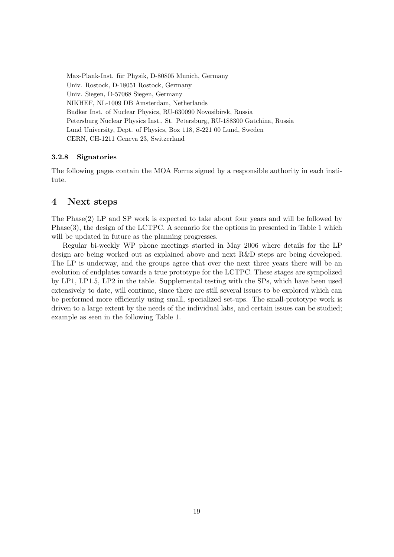Max-Plank-Inst. für Physik, D-80805 Munich, Germany Univ. Rostock, D-18051 Rostock, Germany Univ. Siegen, D-57068 Siegen, Germany NIKHEF, NL-1009 DB Amsterdam, Netherlands Budker Inst. of Nuclear Physics, RU-630090 Novosibirsk, Russia Petersburg Nuclear Physics Inst., St. Petersburg, RU-188300 Gatchina, Russia Lund University, Dept. of Physics, Box 118, S-221 00 Lund, Sweden CERN, CH-1211 Geneva 23, Switzerland

## **3.2.8 Signatories**

The following pages contain the MOA Forms signed by a responsible authority in each institute.

# **4 Next steps**

The Phase(2) LP and SP work is expected to take about four years and will be followed by Phase(3), the design of the LCTPC. A scenario for the options in presented in Table 1 which will be updated in future as the planning progresses.

Regular bi-weekly WP phone meetings started in May 2006 where details for the LP design are being worked out as explained above and next R&D steps are being developed. The LP is underway, and the groups agree that over the next three years there will be an evolution of endplates towards a true prototype for the LCTPC. These stages are sympolized by LP1, LP1.5, LP2 in the table. Supplemental testing with the SPs, which have been used extensively to date, will continue, since there are still several issues to be explored which can be performed more efficiently using small, specialized set-ups. The small-prototype work is driven to a large extent by the needs of the individual labs, and certain issues can be studied; example as seen in the following Table 1.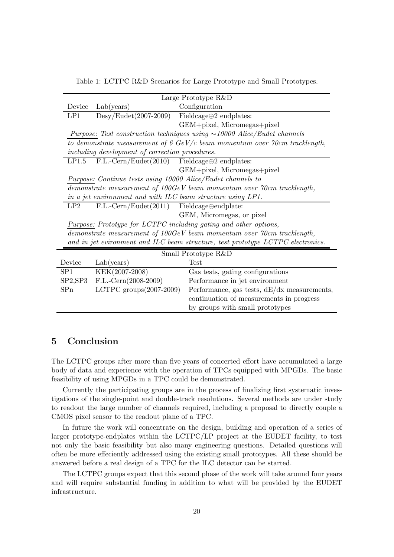| Table 1: LCTPC R&D Scenarios for Large Prototype and Small Prototypes. |  |  |
|------------------------------------------------------------------------|--|--|
|------------------------------------------------------------------------|--|--|

| Large Prototype R&D                                                                        |                                                         |                                               |  |  |  |
|--------------------------------------------------------------------------------------------|---------------------------------------------------------|-----------------------------------------------|--|--|--|
| Device                                                                                     | Lab(years)                                              | Configuration                                 |  |  |  |
| LP1                                                                                        | $Desy/Eudet(2007-2009)$                                 | Fieldcage $\oplus$ 2 endplates:               |  |  |  |
|                                                                                            |                                                         | GEM+pixel, Micromegas+pixel                   |  |  |  |
| Purpose: Test construction techniques using $\sim$ 10000 Alice/Eudet channels              |                                                         |                                               |  |  |  |
| to demonstrate measurement of 6 GeV/c beam momentum over 70cm tracklength,                 |                                                         |                                               |  |  |  |
| including development of correction procedures.                                            |                                                         |                                               |  |  |  |
| LP1.5                                                                                      | $F.L.-Cern/Eudet(2010)$ Fieldcage $\oplus$ 2 endplates: |                                               |  |  |  |
|                                                                                            |                                                         | GEM+pixel, Micromegas+pixel                   |  |  |  |
| Purpose: Continue tests using 10000 Alice/Eudet channels to                                |                                                         |                                               |  |  |  |
| demonstrate measurement of $100 GeV$ beam momentum over $70 cm$ tracklength,               |                                                         |                                               |  |  |  |
| in a jet environment and with ILC beam structure using LP1.                                |                                                         |                                               |  |  |  |
| LP2                                                                                        | $F.L.-Cern/Eudet(2011)$                                 | Fieldcage@endplate:                           |  |  |  |
| GEM, Micromegas, or pixel                                                                  |                                                         |                                               |  |  |  |
| Purpose: Prototype for LCTPC including gating and other options,                           |                                                         |                                               |  |  |  |
| demonstrate measurement of $100 \text{GeV}$ beam momentum over $70 \text{cm}$ tracklength, |                                                         |                                               |  |  |  |
| and in jet evironment and ILC beam structure, test prototype LCTPC electronics.            |                                                         |                                               |  |  |  |
| Small Prototype R&D                                                                        |                                                         |                                               |  |  |  |
| Device                                                                                     | Lab(years)                                              | <b>Test</b>                                   |  |  |  |
| SP <sub>1</sub>                                                                            | KEK(2007-2008)                                          | Gas tests, gating configurations              |  |  |  |
| SP2, SP3                                                                                   | $F.L.-Cern(2008-2009)$                                  | Performance in jet environment                |  |  |  |
| SPn                                                                                        | LCTPC groups $(2007-2009)$                              | Performance, gas tests, $dE/dx$ measurements, |  |  |  |
|                                                                                            |                                                         | continuation of measurements in progress      |  |  |  |

# **5 Conclusion**

The LCTPC groups after more than five years of concerted effort have accumulated a large body of data and experience with the operation of TPCs equipped with MPGDs. The basic feasibility of using MPGDs in a TPC could be demonstrated.

by groups with small prototypes

Currently the participating groups are in the process of finalizing first systematic investigations of the single-point and double-track resolutions. Several methods are under study to readout the large number of channels required, including a proposal to directly couple a CMOS pixel sensor to the readout plane of a TPC.

In future the work will concentrate on the design, building and operation of a series of larger prototype-endplates within the LCTPC/LP project at the EUDET facility, to test not only the basic feasibility but also many engineering questions. Detailed questions will often be more effeciently addressed using the existing small prototypes. All these should be answered before a real design of a TPC for the ILC detector can be started.

The LCTPC groups expect that this second phase of the work will take around four years and will require substantial funding in addition to what will be provided by the EUDET infrastructure.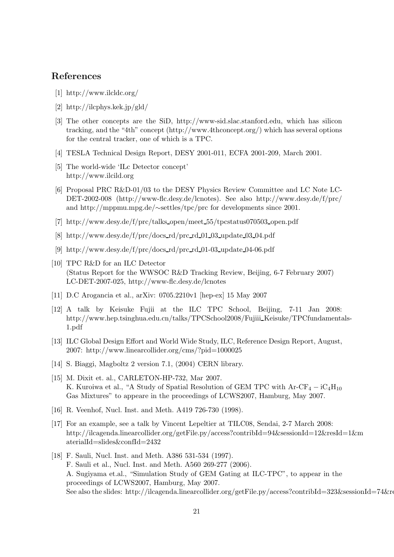# **References**

- [1] http://www.ilcldc.org/
- [2] http://ilcphys.kek.jp/gld/
- [3] The other concepts are the SiD, http://www-sid.slac.stanford.edu, which has silicon tracking, and the "4th" concept (http://www.4thconcept.org/) which has several options for the central tracker, one of which is a TPC.
- [4] TESLA Technical Design Report, DESY 2001-011, ECFA 2001-209, March 2001.
- [5] The world-wide 'ILc Detector concept' http://www.ilcild.org
- [6] Proposal PRC R&D-01/03 to the DESY Physics Review Committee and LC Note LC-DET-2002-008 (http://www-flc.desy.de/lcnotes). See also http://www.desy.de/f/prc/ and http://mppmu.mpg.de/∼settles/tpc/prc for developments since 2001.
- [7] http://www.desy.de/f/prc/talks open/meet 55/tpcstatus070503 open.pdf
- $[8]$  http://www.desy.de/f/prc/docs\_rd/prc\_rd\_01\_03\_update\_03\_04.pdf
- [9] http://www.desy.de/f/prc/docs rd/prc rd 01-03 update 04-06.pdf
- [10] TPC R&D for an ILC Detector (Status Report for the WWSOC R&D Tracking Review, Beijing, 6-7 February 2007) LC-DET-2007-025, http://www-flc.desy.de/lcnotes
- [11] D.C Arogancia et al., arXiv: 0705.2210v1 [hep-ex] 15 May 2007
- [12] A talk by Keisuke Fujii at the ILC TPC School, Beijing, 7-11 Jan 2008: http://www.hep.tsinghua.edu.cn/talks/TPCSchool2008/Fujiii\_Keisuke/TPCfundamentals-1.pdf
- [13] ILC Global Design Effort and World Wide Study, ILC, Reference Design Report, August, 2007: http://www.linearcollider.org/cms/?pid=1000025
- [14] S. Biaggi, Magboltz 2 version 7.1, (2004) CERN library.
- [15] M. Dixit et. al., CARLETON-HP-732, Mar 2007. K. Kuroiwa et al., "A Study of Spatial Resolution of GEM TPC with  $Ar-CF_4 - iC_4H_{10}$ Gas Mixtures" to appeare in the proceedings of LCWS2007, Hamburg, May 2007.
- [16] R. Veenhof, Nucl. Inst. and Meth. A419 726-730 (1998).
- [17] For an example, see a talk by Vincent Lepeltier at TILC08, Sendai, 2-7 March 2008: http://ilcagenda.linearcollider.org/getFile.py/access?contribId=94&sessionId=12&resId=1&m aterialId=slides&confId=2432
- [18] F. Sauli, Nucl. Inst. and Meth. A386 531-534 (1997). F. Sauli et al., Nucl. Inst. and Meth. A560 269-277 (2006). A. Sugiyama et.al., "Simulation Study of GEM Gating at ILC-TPC", to appear in the proceedings of LCWS2007, Hamburg, May 2007. See also the slides: http://ilcagenda.linearcollider.org/getFile.py/access?contribId=323&sessionId=74&re